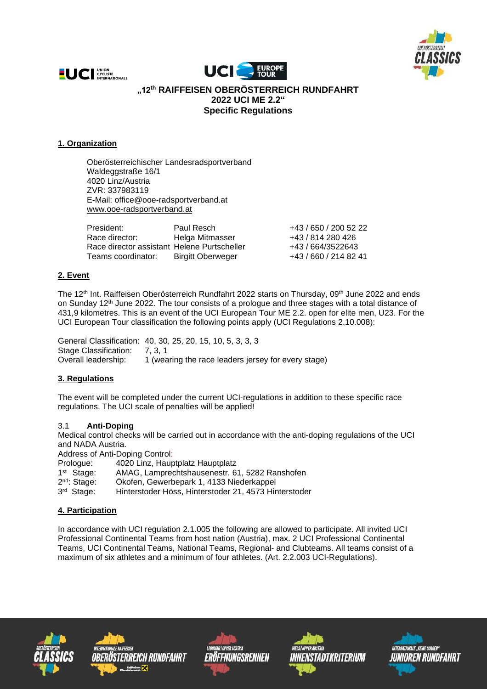





# **"12th RAIFFEISEN OBERÖSTERREICH RUNDFAHRT 2022 UCI ME 2.2" Specific Regulations**

# **1. Organization**

Oberösterreichischer Landesradsportverband Waldeggstraße 16/1 4020 Linz/Austria ZVR: 337983119 E-Mail: office@ooe-radsportverband.at [www.ooe-radsportverband.at](http://www.ooe-radsportverband.at/)

| Paul Resch               | +43 / 650 / 200 52 22                       |
|--------------------------|---------------------------------------------|
| Helga Mitmasser          | +43 / 814 280 426                           |
|                          | +43 / 664/3522643                           |
| <b>Birgitt Oberweger</b> | +43/660/2148241                             |
|                          | Race director assistant Helene Purtscheller |

# **2. Event**

The 12<sup>th</sup> Int. Raiffeisen Oberösterreich Rundfahrt 2022 starts on Thursday, 09<sup>th</sup> June 2022 and ends on Sunday 12th June 2022. The tour consists of a prologue and three stages with a total distance of 431,9 kilometres. This is an event of the UCI European Tour ME 2.2. open for elite men, U23. For the UCI European Tour classification the following points apply (UCI Regulations 2.10.008):

General Classification: 40, 30, 25, 20, 15, 10, 5, 3, 3, 3 Stage Classification: 7, 3, 1 Overall leadership: 1 (wearing the race leaders jersey for every stage)

# **3. Regulations**

The event will be completed under the current UCI-regulations in addition to these specific race regulations. The UCI scale of penalties will be applied!

#### 3.1 **Anti-Doping**

Medical control checks will be carried out in accordance with the anti-doping regulations of the UCI and NADA Austria. Address of Anti-Doping Control:

Prologue: 4020 Linz, Hauptplatz Hauptplatz

- 1<sup>st</sup> Stage: AMAG, Lamprechtshausenestr. 61, 5282 Ranshofen
- 2<sup>nd</sup>: Stage: Ökofen, Gewerbepark 1, 4133 Niederkappel
- 3 rd Hinterstoder Höss, Hinterstoder 21, 4573 Hinterstoder

#### **4. Participation**

In accordance with UCI regulation 2.1.005 the following are allowed to participate. All invited UCI Professional Continental Teams from host nation (Austria), max. 2 UCI Professional Continental Teams, UCI Continental Teams, National Teams, Regional- and Clubteams. All teams consist of a maximum of six athletes and a minimum of four athletes. (Art. 2.2.003 UCI-Regulations).









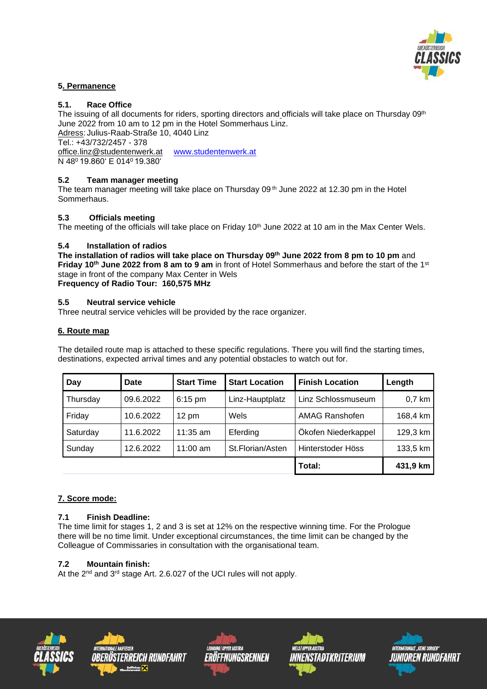

# **5. Permanence**

# **5.1. Race Office**

The issuing of all documents for riders, sporting directors and officials will take place on Thursday 09<sup>th</sup> June 2022 from 10 am to 12 pm in the Hotel Sommerhaus Linz. Adress: Julius-Raab-Straße 10, 4040 Linz Tel.: +43/732/2457 - 378 [office.linz@studentenwerk.at](mailto:office.linz@studentenwerk.at) [www.studentenwerk.at](http://www.studentenwerk.at/) N 48<sup>0</sup> 19.860' E 014<sup>0</sup> 19.380'

# **5.2 Team manager meeting**

The team manager meeting will take place on Thursday 09<sup>th</sup> June 2022 at 12.30 pm in the Hotel Sommerhaus.

#### **5.3 Officials meeting**

The meeting of the officials will take place on Friday 10<sup>th</sup> June 2022 at 10 am in the Max Center Wels.

#### **5.4 Installation of radios**

The installation of radios will take place on Thursday 09th June 2022 from 8 pm to 10 pm and **Friday 10th June 2022 from 8 am to 9 am** in front of Hotel Sommerhaus and before the start of the 1 st stage in front of the company Max Center in Wels **Frequency of Radio Tour: 160,575 MHz**

#### **5.5 Neutral service vehicle**

Three neutral service vehicles will be provided by the race organizer.

#### **6. Route map**

The detailed route map is attached to these specific regulations. There you will find the starting times, destinations, expected arrival times and any potential obstacles to watch out for.

| Day      | Date      | <b>Start Time</b> | <b>Start Location</b> | <b>Finish Location</b> | Length   |
|----------|-----------|-------------------|-----------------------|------------------------|----------|
| Thursday | 09.6.2022 | $6:15$ pm         | Linz-Hauptplatz       | Linz Schlossmuseum     | $0,7$ km |
| Friday   | 10.6.2022 | $12 \text{ pm}$   | Wels                  | <b>AMAG Ranshofen</b>  | 168,4 km |
| Saturday | 11.6.2022 | 11:35 am          | Eferding              | Ökofen Niederkappel    | 129,3 km |
| Sunday   | 12.6.2022 | 11:00 $am$        | St.Florian/Asten      | Hinterstoder Höss      | 133,5 km |
|          |           |                   |                       | Total:                 | 431,9 km |

#### **7. Score mode:**

#### **7.1 Finish Deadline:**

The time limit for stages 1, 2 and 3 is set at 12% on the respective winning time. For the Prologue there will be no time limit. Under exceptional circumstances, the time limit can be changed by the Colleague of Commissaries in consultation with the organisational team.

#### **7.2 Mountain finish:**

At the 2<sup>nd</sup> and 3<sup>rd</sup> stage Art. 2.6.027 of the UCI rules will not apply.









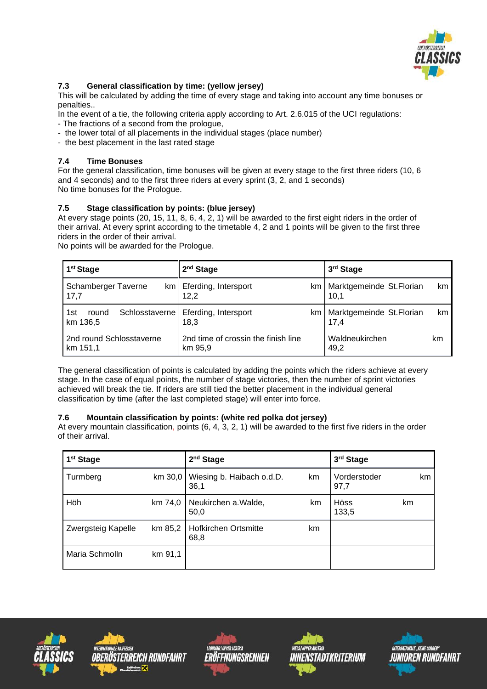

# **7.3 General classification by time: (yellow jersey)**

This will be calculated by adding the time of every stage and taking into account any time bonuses or penalties..

In the event of a tie, the following criteria apply according to Art. 2.6.015 of the UCI regulations:

- The fractions of a second from the prologue,
- the lower total of all placements in the individual stages (place number)
- the best placement in the last rated stage

# **7.4 Time Bonuses**

For the general classification, time bonuses will be given at every stage to the first three riders (10, 6 and 4 seconds) and to the first three riders at every sprint (3, 2, and 1 seconds) No time bonuses for the Prologue.

# **7.5 Stage classification by points: (blue jersey)**

At every stage points (20, 15, 11, 8, 6, 4, 2, 1) will be awarded to the first eight riders in the order of their arrival. At every sprint according to the timetable 4, 2 and 1 points will be given to the first three riders in the order of their arrival.

No points will be awarded for the Prologue.

| 1 <sup>st</sup> Stage                      | $2nd$ Stage                                    | 3 <sup>rd</sup> Stage                     |
|--------------------------------------------|------------------------------------------------|-------------------------------------------|
| Schamberger Taverne<br>km<br>17,7          | Eferding, Intersport<br>km.<br>12.2            | Marktgemeinde St. Florian<br>km l<br>10.1 |
| Schlosstaverne<br>1st<br>round<br>km 136,5 | Eferding, Intersport<br>km<br>18.3             | Marktgemeinde St. Florian<br>km l<br>17.4 |
| 2nd round Schlosstaverne<br>km 151,1       | 2nd time of crossin the finish line<br>km 95,9 | Waldneukirchen<br>km<br>49.2              |

The general classification of points is calculated by adding the points which the riders achieve at every stage. In the case of equal points, the number of stage victories, then the number of sprint victories achieved will break the tie. If riders are still tied the better placement in the individual general classification by time (after the last completed stage) will enter into force.

#### **7.6 Mountain classification by points: (white red polka dot jersey)**

At every mountain classification, points (6, 4, 3, 2, 1) will be awarded to the first five riders in the order of their arrival.

| 1 <sup>st</sup> Stage |           | $2nd$ Stage                       |    | 3 <sup>rd</sup> Stage |     |
|-----------------------|-----------|-----------------------------------|----|-----------------------|-----|
| Turmberg              | km $30,0$ | Wiesing b. Haibach o.d.D.<br>36,1 | km | Vorderstoder<br>97,7  | km. |
| Höh                   | km 74,0   | Neukirchen a. Walde,<br>50,0      | km | Höss<br>133,5         | km  |
| Zwergsteig Kapelle    | km 85,2   | Hofkirchen Ortsmitte<br>68,8      | km |                       |     |
| Maria Schmolln        | km 91,1   |                                   |    |                       |     |









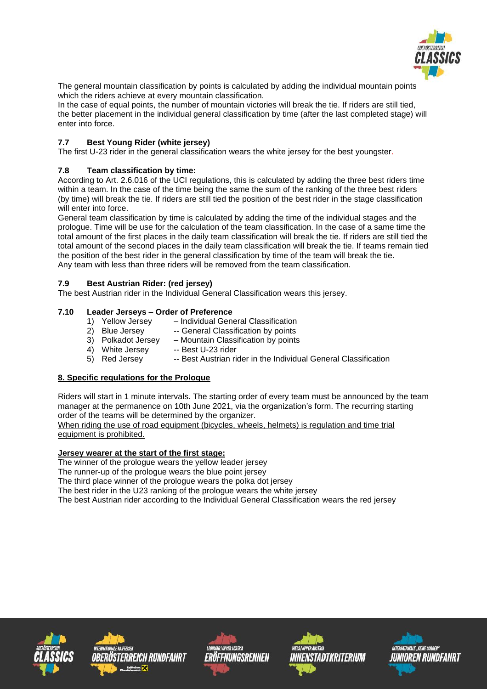

The general mountain classification by points is calculated by adding the individual mountain points which the riders achieve at every mountain classification.

In the case of equal points, the number of mountain victories will break the tie. If riders are still tied, the better placement in the individual general classification by time (after the last completed stage) will enter into force.

# **7.7 Best Young Rider (white jersey)**

The first U-23 rider in the general classification wears the white jersey for the best youngster.

#### **7.8 Team classification by time:**

According to Art. 2.6.016 of the UCI regulations, this is calculated by adding the three best riders time within a team. In the case of the time being the same the sum of the ranking of the three best riders (by time) will break the tie. If riders are still tied the position of the best rider in the stage classification will enter into force.

General team classification by time is calculated by adding the time of the individual stages and the prologue. Time will be use for the calculation of the team classification. In the case of a same time the total amount of the first places in the daily team classification will break the tie. If riders are still tied the total amount of the second places in the daily team classification will break the tie. If teams remain tied the position of the best rider in the general classification by time of the team will break the tie. Any team with less than three riders will be removed from the team classification.

# **7.9 Best Austrian Rider: (red jersey)**

The best Austrian rider in the Individual General Classification wears this jersey.

# **7.10 Leader Jerseys – Order of Preference**

- Individual General Classification
- 2) Blue Jersey -- General Classification by points
- 3) Polkadot Jersey Mountain Classification by points<br>4) White Jersey -- Best U-23 rider
- 4) White Jersey
- 5) Red Jersey -- Best Austrian rider in the Individual General Classification

#### **8. Specific regulations for the Prologue**

Riders will start in 1 minute intervals. The starting order of every team must be announced by the team manager at the permanence on 10th June 2021, via the organization's form. The recurring starting order of the teams will be determined by the organizer.

When riding the use of road equipment (bicycles, wheels, helmets) is regulation and time trial equipment is prohibited.

#### **Jersey wearer at the start of the first stage:**

The winner of the prologue wears the yellow leader jersey

The runner-up of the prologue wears the blue point jersey

The third place winner of the prologue wears the polka dot jersey

The best rider in the U23 ranking of the prologue wears the white jersey

The best Austrian rider according to the Individual General Classification wears the red jersey









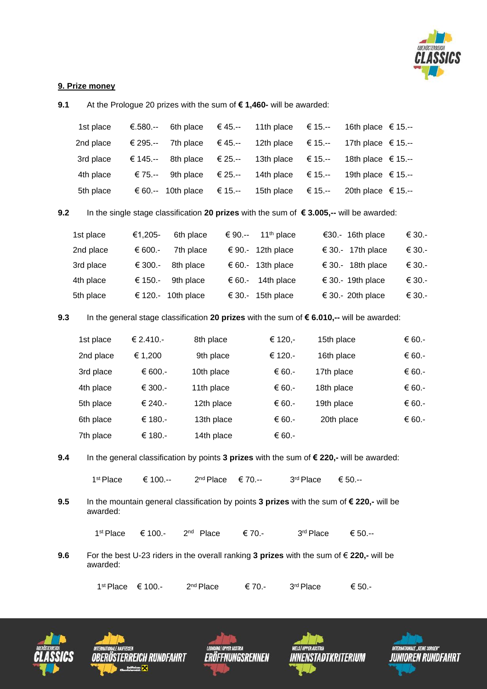

#### **9. Prize money**

### **9.1** At the Prologue 20 prizes with the sum of **€ 1,460-** will be awarded:

| 1st place | €.580.-- | 6th place                  | € 45.-- | 11th place                  | € 15.--   | 16th place $€ 15. --$       |  |
|-----------|----------|----------------------------|---------|-----------------------------|-----------|-----------------------------|--|
| 2nd place | € 295.-- | 7th place                  | € 45.-- | 12th place                  | € 15. $-$ | 17th place $\epsilon$ 15.-- |  |
| 3rd place | € 145.-- | 8th place $\epsilon$ 25.-- |         | 13th place $\epsilon$ 15.-- |           | 18th place $€ 15. --$       |  |
| 4th place | € 75.--  | 9th place                  | € 25.-- | 14th place                  | € 15.--   | 19th place $\epsilon$ 15.-- |  |
| 5th place |          | $60--$ 10th place          | € 15.-- | 15th place                  | € 15.--   | 20th place $€ 15.$ --       |  |

**9.2** In the single stage classification **20 prizes** with the sum of **€ 3.005,--** will be awarded:

| 1st place | €1,205- | 6th place  | € 90.-- | $11th$ place      | €30.- 16th place              | € 30.-    |
|-----------|---------|------------|---------|-------------------|-------------------------------|-----------|
| 2nd place | € 600.- | 7th place  |         | € 90.- 12th place | 17th place<br>$\epsilon$ 30.- | $€ 30. -$ |
| 3rd place | € 300.- | 8th place  | € 60.-  | 13th place        | 18th place<br>€ 30.-          | € 30.-    |
| 4th place | € 150.- | 9th place  | € 60.-  | 14th place        | € 30.-19th place              | $€ 30. -$ |
| 5th place | € 120.- | 10th place | € 30.-  | 15th place        | € 30.- 20th place             | $€ 30. -$ |

**9.3** In the general stage classification **20 prizes** with the sum of **€ 6.010,--** will be awarded:

| 1st place | € 2.410.-  | 8th place  | € 120,- | 15th place | € 60.- |
|-----------|------------|------------|---------|------------|--------|
| 2nd place | € 1.200    | 9th place  | € 120.- | 16th place | € 60.- |
| 3rd place | € 600.-    | 10th place | € 60.-  | 17th place | € 60.- |
| 4th place | € 300.-    | 11th place | € 60.-  | 18th place | € 60.- |
| 5th place | $€ 240. -$ | 12th place | € 60.-  | 19th place | € 60.- |
| 6th place | € 180.-    | 13th place | € 60.-  | 20th place | € 60.- |
| 7th place | € 180.-    | 14th place | € 60.-  |            |        |

**9.4** In the general classification by points **3 prizes** with the sum of **€ 220,-** will be awarded:

1<sup>st</sup> Place € 100.--

 $2<sup>nd</sup> Place$   $\in$  70.-- $3<sup>rd</sup>$  Place  $\epsilon$  50.--

**9.5** In the mountain general classification by points **3 prizes** with the sum of **€ 220,-** will be awarded:

> 1<sup>st</sup> Place  $€ 100. 2<sup>nd</sup>$  Place  $\epsilon$  70.- $3<sup>rd</sup>$  Place  $\epsilon$  50.--

**9.6** For the best U-23 riders in the overall ranking **3 prizes** with the sum of € **220,-** will be awarded:

> 1 st Place € 100.- 2<sup>nd</sup> Place € 70.-3 rd Place € 50.-









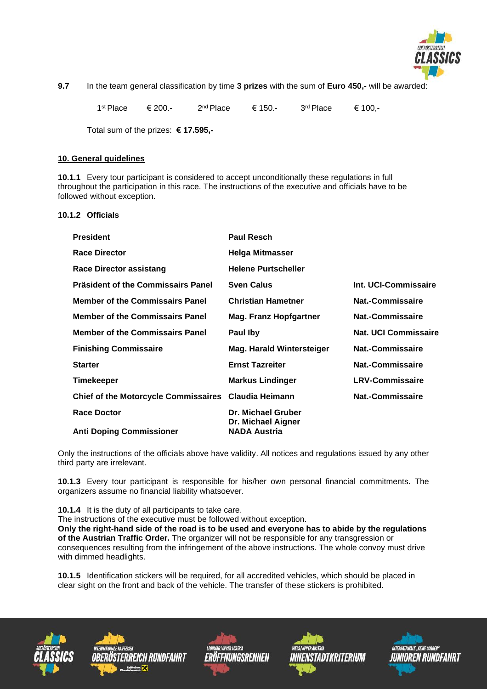

**9.7** In the team general classification by time **3 prizes** with the sum of **Euro 450,-** will be awarded:

1<sup>st</sup> Place  $€ 200. 2<sup>nd</sup>$  Place  $\epsilon$  150.- $3<sup>rd</sup>$  Place  $\epsilon$  100.-

Total sum of the prizes: **€ 17.595,-**

#### **10. General guidelines**

**10.1.1** Every tour participant is considered to accept unconditionally these regulations in full throughout the participation in this race. The instructions of the executive and officials have to be followed without exception.

#### **10.1.2 Officials**

| <b>President</b>                                     | <b>Paul Resch</b>                         |                             |
|------------------------------------------------------|-------------------------------------------|-----------------------------|
| <b>Race Director</b>                                 | Helga Mitmasser                           |                             |
| Race Director assistang                              | <b>Helene Purtscheller</b>                |                             |
| <b>Präsident of the Commissairs Panel</b>            | <b>Sven Calus</b>                         | Int. UCI-Commissaire        |
| <b>Member of the Commissairs Panel</b>               | <b>Christian Hametner</b>                 | Nat.-Commissaire            |
| <b>Member of the Commissairs Panel</b>               | <b>Mag. Franz Hopfgartner</b>             | <b>Nat.-Commissaire</b>     |
| <b>Member of the Commissairs Panel</b>               | Paul Iby                                  | <b>Nat. UCI Commissaire</b> |
| <b>Finishing Commissaire</b>                         | <b>Mag. Harald Wintersteiger</b>          | Nat.-Commissaire            |
| <b>Starter</b>                                       | <b>Ernst Tazreiter</b>                    | Nat.-Commissaire            |
| Timekeeper                                           | <b>Markus Lindinger</b>                   | <b>LRV-Commissaire</b>      |
| Chief of the Motorcycle Commissaires Claudia Heimann |                                           | Nat.-Commissaire            |
| <b>Race Doctor</b>                                   | Dr. Michael Gruber                        |                             |
| <b>Anti Doping Commissioner</b>                      | Dr. Michael Aigner<br><b>NADA Austria</b> |                             |

Only the instructions of the officials above have validity. All notices and regulations issued by any other third party are irrelevant.

**10.1.3** Every tour participant is responsible for his/her own personal financial commitments. The organizers assume no financial liability whatsoever.

**10.1.4** It is the duty of all participants to take care.

The instructions of the executive must be followed without exception.

Only the right-hand side of the road is to be used and everyone has to abide by the regulations **of the Austrian Traffic Order.** The organizer will not be responsible for any transgression or consequences resulting from the infringement of the above instructions. The whole convoy must drive with dimmed headlights.

**10.1.5** Identification stickers will be required, for all accredited vehicles, which should be placed in clear sight on the front and back of the vehicle. The transfer of these stickers is prohibited.









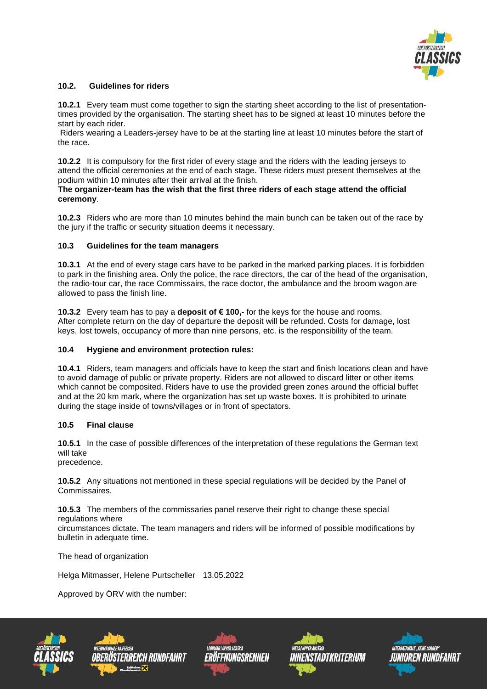

#### **10.2. Guidelines for riders**

**10.2.1** Every team must come together to sign the starting sheet according to the list of presentationtimes provided by the organisation. The starting sheet has to be signed at least 10 minutes before the start by each rider.

Riders wearing a Leaders-jersey have to be at the starting line at least 10 minutes before the start of the race.

**10.2.2** It is compulsory for the first rider of every stage and the riders with the leading jerseys to attend the official ceremonies at the end of each stage. These riders must present themselves at the podium within 10 minutes after their arrival at the finish.

**The organizer-team has the wish that the first three riders of each stage attend the official ceremony**.

**10.2.3** Riders who are more than 10 minutes behind the main bunch can be taken out of the race by the jury if the traffic or security situation deems it necessary.

#### **10.3 Guidelines for the team managers**

**10.3.1** At the end of every stage cars have to be parked in the marked parking places. It is forbidden to park in the finishing area. Only the police, the race directors, the car of the head of the organisation, the radio-tour car, the race Commissairs, the race doctor, the ambulance and the broom wagon are allowed to pass the finish line.

**10.3.2** Every team has to pay a **deposit of € 100,-** for the keys for the house and rooms. After complete return on the day of departure the deposit will be refunded. Costs for damage, lost keys, lost towels, occupancy of more than nine persons, etc. is the responsibility of the team.

#### **10.4 Hygiene and environment protection rules:**

**10.4.1** Riders, team managers and officials have to keep the start and finish locations clean and have to avoid damage of public or private property. Riders are not allowed to discard litter or other items which cannot be composited. Riders have to use the provided green zones around the official buffet and at the 20 km mark, where the organization has set up waste boxes. It is prohibited to urinate during the stage inside of towns/villages or in front of spectators.

#### **10.5 Final clause**

**10.5.1** In the case of possible differences of the interpretation of these regulations the German text will take

precedence.

**10.5.2** Any situations not mentioned in these special regulations will be decided by the Panel of Commissaires.

**10.5.3** The members of the commissaries panel reserve their right to change these special regulations where

circumstances dictate. The team managers and riders will be informed of possible modifications by bulletin in adequate time.

The head of organization

Helga Mitmasser, Helene Purtscheller 13.05.2022

Approved by ÖRV with the number: